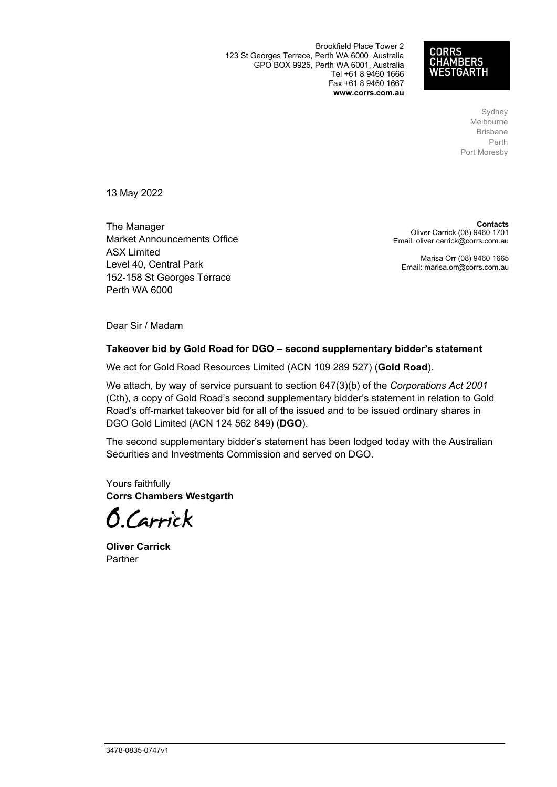Brookfield Place Tower 2 123 St Georges Terrace, Perth WA 6000, Australia GPO BOX 9925, Perth WA 6001, Australia Tel +61 8 9460 1666 Fax +61 8 9460 1667 **www.corrs.com.au**



Sydney Melbourne Brisbane Perth Port Moresby

13 May 2022

The Manager Market Announcements Office ASX Limited Level 40, Central Park 152-158 St Georges Terrace Perth WA 6000

**Contacts** Oliver Carrick (08) 9460 1701 Email: oliver.carrick@corrs.com.au

Marisa Orr (08) 9460 1665 Email: marisa.orr@corrs.com.au

Dear Sir / Madam

#### **Takeover bid by Gold Road for DGO – second supplementary bidder's statement**

We act for Gold Road Resources Limited (ACN 109 289 527) (**Gold Road**).

We attach, by way of service pursuant to section 647(3)(b) of the *Corporations Act 2001* (Cth), a copy of Gold Road's second supplementary bidder's statement in relation to Gold Road's off-market takeover bid for all of the issued and to be issued ordinary shares in DGO Gold Limited (ACN 124 562 849) (**DGO**).

The second supplementary bidder's statement has been lodged today with the Australian Securities and Investments Commission and served on DGO.

Yours faithfully **Corrs Chambers Westgarth**

**O.**Carrick

**Oliver Carrick** Partner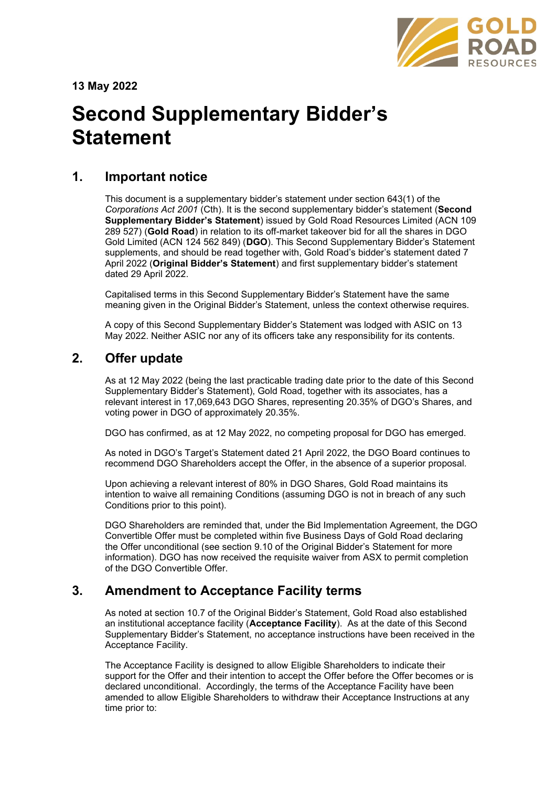

**13 May 2022**

# **Second Supplementary Bidder's Statement**

## **1. Important notice**

This document is a supplementary bidder's statement under section 643(1) of the *Corporations Act 2001* (Cth). It is the second supplementary bidder's statement (**Second Supplementary Bidder's Statement**) issued by Gold Road Resources Limited (ACN 109 289 527) (**Gold Road**) in relation to its off-market takeover bid for all the shares in DGO Gold Limited (ACN 124 562 849) (**DGO**). This Second Supplementary Bidder's Statement supplements, and should be read together with, Gold Road's bidder's statement dated 7 April 2022 (**Original Bidder's Statement**) and first supplementary bidder's statement dated 29 April 2022.

Capitalised terms in this Second Supplementary Bidder's Statement have the same meaning given in the Original Bidder's Statement, unless the context otherwise requires.

A copy of this Second Supplementary Bidder's Statement was lodged with ASIC on 13 May 2022. Neither ASIC nor any of its officers take any responsibility for its contents.

# **2. Offer update**

As at 12 May 2022 (being the last practicable trading date prior to the date of this Second Supplementary Bidder's Statement), Gold Road, together with its associates, has a relevant interest in 17,069,643 DGO Shares, representing 20.35% of DGO's Shares, and voting power in DGO of approximately 20.35%.

DGO has confirmed, as at 12 May 2022, no competing proposal for DGO has emerged.

As noted in DGO's Target's Statement dated 21 April 2022, the DGO Board continues to recommend DGO Shareholders accept the Offer, in the absence of a superior proposal.

Upon achieving a relevant interest of 80% in DGO Shares, Gold Road maintains its intention to waive all remaining Conditions (assuming DGO is not in breach of any such Conditions prior to this point).

DGO Shareholders are reminded that, under the Bid Implementation Agreement, the DGO Convertible Offer must be completed within five Business Days of Gold Road declaring the Offer unconditional (see section 9.10 of the Original Bidder's Statement for more information). DGO has now received the requisite waiver from ASX to permit completion of the DGO Convertible Offer.

# **3. Amendment to Acceptance Facility terms**

As noted at section 10.7 of the Original Bidder's Statement, Gold Road also established an institutional acceptance facility (**Acceptance Facility**). As at the date of this Second Supplementary Bidder's Statement, no acceptance instructions have been received in the Acceptance Facility.

The Acceptance Facility is designed to allow Eligible Shareholders to indicate their support for the Offer and their intention to accept the Offer before the Offer becomes or is declared unconditional. Accordingly, the terms of the Acceptance Facility have been amended to allow Eligible Shareholders to withdraw their Acceptance Instructions at any time prior to: